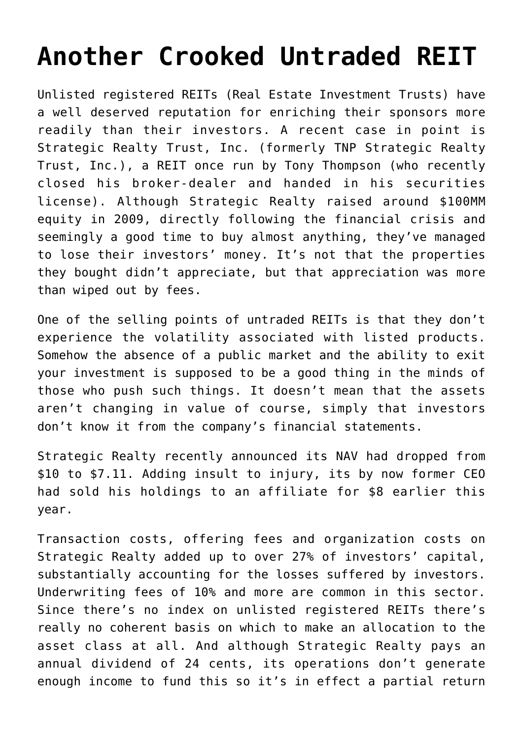## **[Another Crooked Untraded REIT](https://sl-advisors.com/another-crooked-untraded-reit)**

Unlisted registered REITs (Real Estate Investment Trusts) have a well deserved reputation for enriching their sponsors more readily than their investors. A recent [case i](http://www.investmentnews.com/article/20140721/FREE/140729997)n point is Strategic Realty Trust, Inc. (formerly TNP Strategic Realty Trust, Inc.), a REIT once run by Tony Thompson (who recently closed his broker-dealer and handed in his securities license). Although Strategic Realty raised around \$100MM equity in 2009, directly following the financial crisis and seemingly a good time to buy almost anything, they've managed to lose their investors' money. It's not that the properties they bought didn't appreciate, but that appreciation was more than wiped out by fees.

One of the selling points of untraded REITs is that they don't experience the volatility associated with listed products. Somehow the absence of a public market and the ability to exit your investment is supposed to be a good thing in the minds of those who push such things. It doesn't mean that the assets aren't changing in value of course, simply that investors don't know it from the company's financial statements.

Strategic Realty recently announced its NAV had dropped from \$10 to \$7.11. Adding insult to injury, its by now former CEO had sold his holdings to an affiliate for \$8 earlier this year.

Transaction costs, offering fees and organization costs on Strategic Realty added up to over 27% of investors' capital, substantially accounting for the losses suffered by investors. Underwriting fees of 10% and more are common in this sector. Since there's no index on unlisted registered REITs there's really no coherent basis on which to make an allocation to the asset class at all. And although Strategic Realty pays an annual dividend of 24 cents, its operations don't generate enough income to fund this so it's in effect a partial return